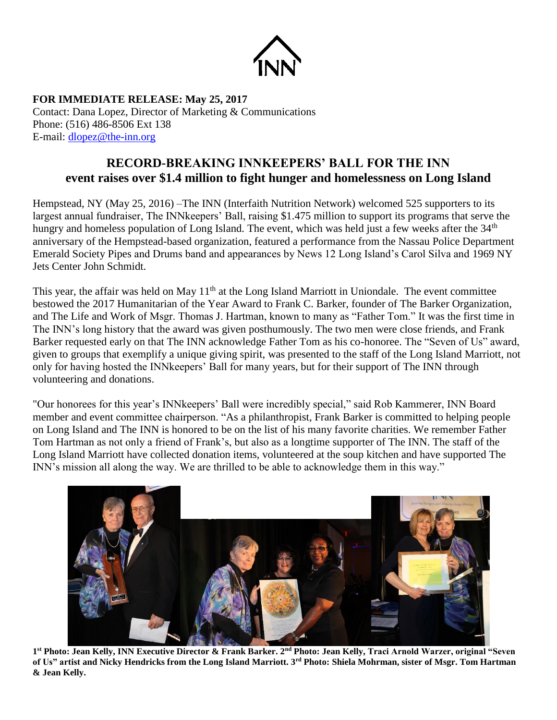

**FOR IMMEDIATE RELEASE: May 25, 2017** Contact: Dana Lopez, Director of Marketing & Communications Phone: (516) 486-8506 Ext 138 E-mail: [dlopez@the-inn.org](mailto:dlopez@the-inn.org)

## **RECORD-BREAKING INNKEEPERS' BALL FOR THE INN event raises over \$1.4 million to fight hunger and homelessness on Long Island**

Hempstead, NY (May 25, 2016) –The INN (Interfaith Nutrition Network) welcomed 525 supporters to its largest annual fundraiser, The INNkeepers' Ball, raising \$1.475 million to support its programs that serve the hungry and homeless population of Long Island. The event, which was held just a few weeks after the 34<sup>th</sup> anniversary of the Hempstead-based organization, featured a performance from the Nassau Police Department Emerald Society Pipes and Drums band and appearances by News 12 Long Island's Carol Silva and 1969 NY Jets Center John Schmidt.

This year, the affair was held on May  $11<sup>th</sup>$  at the Long Island Marriott in Uniondale. The event committee bestowed the 2017 Humanitarian of the Year Award to Frank C. Barker, founder of The Barker Organization, and The Life and Work of Msgr. Thomas J. Hartman, known to many as "Father Tom." It was the first time in The INN's long history that the award was given posthumously. The two men were close friends, and Frank Barker requested early on that The INN acknowledge Father Tom as his co-honoree. The "Seven of Us" award, given to groups that exemplify a unique giving spirit, was presented to the staff of the Long Island Marriott, not only for having hosted the INNkeepers' Ball for many years, but for their support of The INN through volunteering and donations.

"Our honorees for this year's INNkeepers' Ball were incredibly special," said Rob Kammerer, INN Board member and event committee chairperson. "As a philanthropist, Frank Barker is committed to helping people on Long Island and The INN is honored to be on the list of his many favorite charities. We remember Father Tom Hartman as not only a friend of Frank's, but also as a longtime supporter of The INN. The staff of the Long Island Marriott have collected donation items, volunteered at the soup kitchen and have supported The INN's mission all along the way. We are thrilled to be able to acknowledge them in this way."



**1 st Photo: Jean Kelly, INN Executive Director & Frank Barker. 2nd Photo: Jean Kelly, Traci Arnold Warzer, original "Seven of Us" artist and Nicky Hendricks from the Long Island Marriott. 3rd Photo: Shiela Mohrman, sister of Msgr. Tom Hartman & Jean Kelly.**